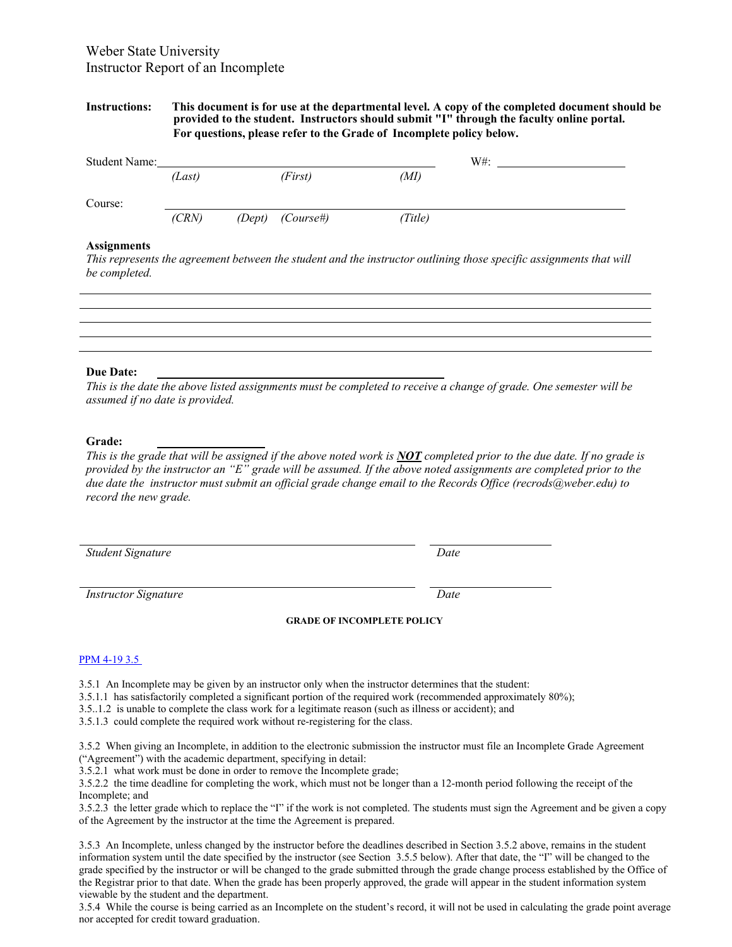# Weber State University Instructor Report of an Incomplete

### **Instructions: This document is for use at the departmental level. A copy of the completed document should be provided to the student. Instructors should submit "I" through the faculty online portal. For questions, please refer to the Grade of Incomplete policy below.**

| <b>Student Name:</b> |        |  |                       |         | $W#$ : |
|----------------------|--------|--|-----------------------|---------|--------|
|                      | (Last) |  | (First)               | (MI)    |        |
| Course:              |        |  |                       |         |        |
|                      | (CRN)  |  | $(Dept)$ $(Course\#)$ | (Title) |        |

## **Assignments**

*This represents the agreement between the student and the instructor outlining those specific assignments that will be completed.* 

#### **Due Date:**

*This is the date the above listed assignments must be completed to receive a change of grade. One semester will be assumed if no date is provided.* 

#### **Grade:**

*This is the grade that will be assigned if the above noted work is NOT completed prior to the due date. If no grade is provided by the instructor an "E" grade will be assumed. If the above noted assignments are completed prior to the due date the instructor must submit an official grade change email to the Records Office (recrods@weber.edu) to record the new grade.* 

**Student Signature** Date

*Instructor Signature* Date **Date** *Date* 

#### **GRADE OF INCOMPLETE POLICY**

#### PPM 4-19 3.5

3.5.1 An Incomplete may be given by an instructor only when the instructor determines that the student:

3.5.1.1 has satisfactorily completed a significant portion of the required work (recommended approximately 80%);

3.5..1.2 is unable to complete the class work for a legitimate reason (such as illness or accident); and

3.5.1.3 could complete the required work without re-registering for the class.

3.5.2 When giving an Incomplete, in addition to the electronic submission the instructor must file an Incomplete Grade Agreement ("Agreement") with the academic department, specifying in detail:

3.5.2.1 what work must be done in order to remove the Incomplete grade;

3.5.2.2 the time deadline for completing the work, which must not be longer than a 12-month period following the receipt of the Incomplete; and

3.5.2.3 the letter grade which to replace the "I" if the work is not completed. The students must sign the Agreement and be given a copy of the Agreement by the instructor at the time the Agreement is prepared.

3.5.3 An Incomplete, unless changed by the instructor before the deadlines described in Section 3.5.2 above, remains in the student information system until the date specified by the instructor (see Section 3.5.5 below). After that date, the "I" will be changed to the grade specified by the instructor or will be changed to the grade submitted through the grade change process established by the Office of the Registrar prior to that date. When the grade has been properly approved, the grade will appear in the student information system viewable by the student and the department.

3.5.4 While the course is being carried as an Incomplete on the student's record, it will not be used in calculating the grade point average nor accepted for credit toward graduation.